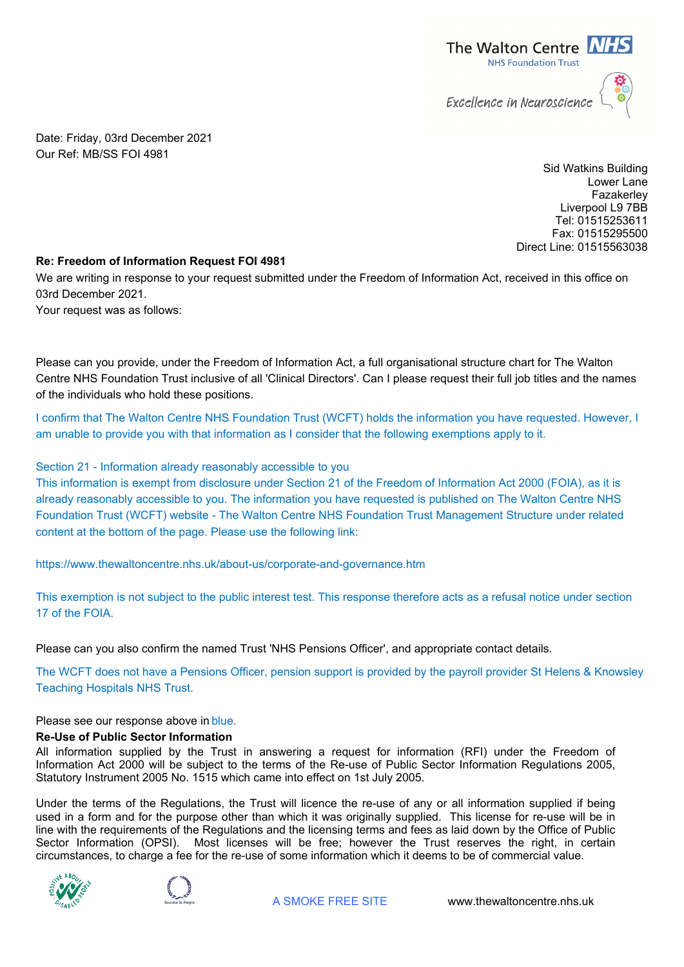

Date: Friday, 03rd December 2021 Our Ref: MB/SS FOI 4981

> Sid Watkins Building Lower Lane Fazakerley Liverpool L9 7BB Tel: 01515253611 Fax: 01515295500 Direct Line: 01515563038

## **Re: Freedom of Information Request FOI 4981**

We are writing in response to your request submitted under the Freedom of Information Act, received in this office on 03rd December 2021.

Your request was as follows:

Please can you provide, under the Freedom of Information Act, a full organisational structure chart for The Walton Centre NHS Foundation Trust inclusive of all 'Clinical Directors'. Can I please request their full job titles and the names of the individuals who hold these positions.

I confirm that The Walton Centre NHS Foundation Trust (WCFT) holds the information you have requested. However, I am unable to provide you with that information as I consider that the following exemptions apply to it.

## Section 21 - Information already reasonably accessible to you

This information is exempt from disclosure under Section 21 of the Freedom of Information Act 2000 (FOIA), as it is already reasonably accessible to you. The information you have requested is published on The Walton Centre NHS Foundation Trust (WCFT) website - The Walton Centre NHS Foundation Trust Management Structure under related content at the bottom of the page. Please use the following link:

https://www.thewaltoncentre.nhs.uk/about-us/corporate-and-governance.htm

This exemption is not subject to the public interest test. This response therefore acts as a refusal notice under section 17 of the FOIA.

Please can you also confirm the named Trust 'NHS Pensions Officer', and appropriate contact details.

The WCFT does not have a Pensions Officer, pension support is provided by the payroll provider St Helens & Knowsley Teaching Hospitals NHS Trust.

Please see our response above in blue.

## **Re-Use of Public Sector Information**

All information supplied by the Trust in answering a request for information (RFI) under the Freedom of Information Act 2000 will be subject to the terms of the Re-use of Public Sector Information Regulations 2005, Statutory Instrument 2005 No. 1515 which came into effect on 1st July 2005.

Under the terms of the Regulations, the Trust will licence the re-use of any or all information supplied if being used in a form and for the purpose other than which it was originally supplied. This license for re-use will be in line with the requirements of the Regulations and the licensing terms and fees as laid down by the Office of Public Sector Information (OPSI). Most licenses will be free; however the Trust reserves the right, in certain circumstances, to charge a fee for the re-use of some information which it deems to be of commercial value.